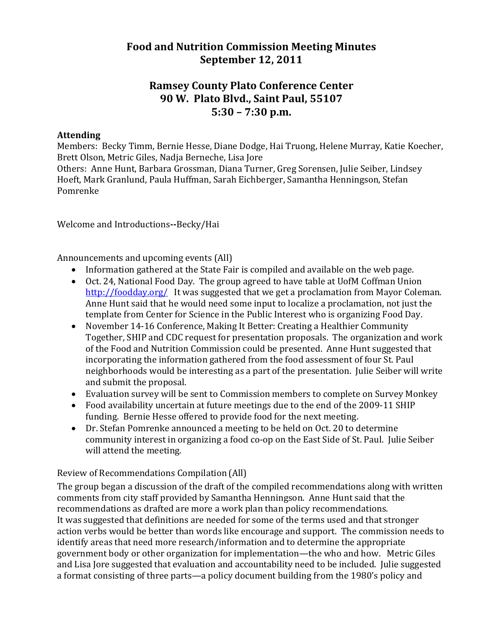## **Food and Nutrition Commission Meeting Minutes September 12, 2011**

## **Ramsey County Plato Conference Center 90 W. Plato Blvd., Saint Paul, 55107 5:30 – 7:30 p.m.**

## **Attending**

Members: Becky Timm, Bernie Hesse, Diane Dodge, Hai Truong, Helene Murray, Katie Koecher, Brett Olson, Metric Giles, Nadja Berneche, Lisa Jore

Others: Anne Hunt, Barbara Grossman, Diana Turner, Greg Sorensen, Julie Seiber, Lindsey Hoeft, Mark Granlund, Paula Huffman, Sarah Eichberger, Samantha Henningson, Stefan Pomrenke

Welcome and Introductions--Becky/Hai

Announcements and upcoming events (All)

- Information gathered at the State Fair is compiled and available on the web page.
- Oct. 24, National Food Day. The group agreed to have table at UofM Coffman Union http://foodday.org/ It was suggested that we get a proclamation from Mayor Coleman. Anne Hunt said that he would need some input to localize a proclamation, not just the template from Center for Science in the Public Interest who is organizing Food Day.
- November 14‐16 Conference, Making It Better: Creating a Healthier Community Together, SHIP and CDC request for presentation proposals. The organization and work of the Food and Nutrition Commission could be presented. Anne Hunt suggested that incorporating the information gathered from the food assessment of four St. Paul neighborhoods would be interesting as a part of the presentation. Julie Seiber will write and submit the proposal.
- Evaluation survey will be sent to Commission members to complete on Survey Monkey
- Food availability uncertain at future meetings due to the end of the 2009‐11 SHIP funding. Bernie Hesse offered to provide food for the next meeting.
- Dr. Stefan Pomrenke announced a meeting to be held on Oct. 20 to determine community interest in organizing a food co‐op on the East Side of St. Paul. Julie Seiber will attend the meeting.

Review of Recommendations Compilation (All)

The group began a discussion of the draft of the compiled recommendations along with written comments from city staff provided by Samantha Henningson. Anne Hunt said that the recommendations as drafted are more a work plan than policy recommendations. It was suggested that definitions are needed for some of the terms used and that stronger action verbs would be better than words like encourage and support. The commission needs to identify areas that need more research/information and to determine the appropriate government body or other organization for implementation—the who and how. Metric Giles and Lisa Jore suggested that evaluation and accountability need to be included. Julie suggested a format consisting of three parts—a policy document building from the 1980's policy and